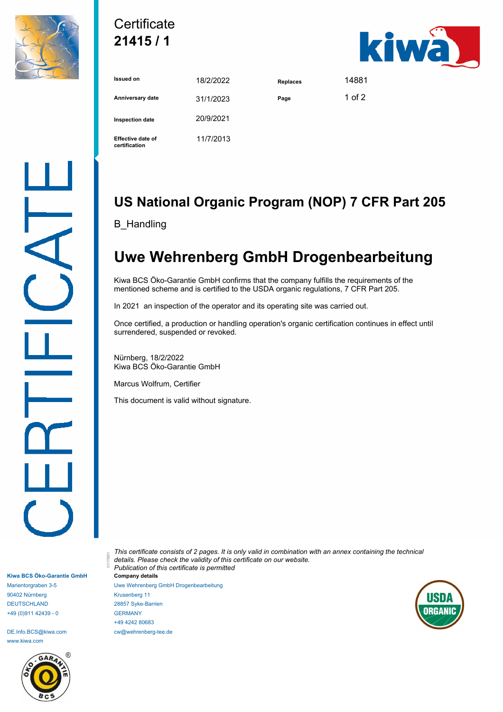

## **Certificate 21415 / 1**



| <b>Issued on</b>                          | 18/2/2022 | <b>Replaces</b> | 14881    |
|-------------------------------------------|-----------|-----------------|----------|
| Anniversary date                          | 31/1/2023 | Page            | 1 of $2$ |
| Inspection date                           | 20/9/2021 |                 |          |
| <b>Effective date of</b><br>certification | 11/7/2013 |                 |          |

## **US National Organic Program (NOP) 7 CFR Part 205**

B\_Handling

## **Uwe Wehrenberg GmbH Drogenbearbeitung**

Kiwa BCS Öko-Garantie GmbH confirms that the company fulfills the requirements of the mentioned scheme and is certified to the USDA organic regulations, 7 CFR Part 205.

In 2021 an inspection of the operator and its operating site was carried out.

Once certified, a production or handling operation's organic certification continues in effect until surrendered, suspended or revoked.

Nürnberg, 18/2/2022 Kiwa BCS Öko-Garantie GmbH

Marcus Wolfrum, Certifier

This document is valid without signature.

**Kiwa BCS Öko-Garantie GmbH** Marientorgraben 3-5 90402 Nürnberg DEUTSCHLAND +49 (0)911 42439 - 0

DE.Info.BCS@kiwa.com www.kiwa.com



*This certificate consists of 2 pages. It is only valid in combination with an annex containing the technical details. Please check the validity of this certificate on our website. Publication of this certificate is permitted* 01/170301 **Company details**

Uwe Wehrenberg GmbH Drogenbearbeitung Krusenberg 11 28857 Syke-Barrien GERMANY +49 4242 80683 cw@wehrenberg-tee.de